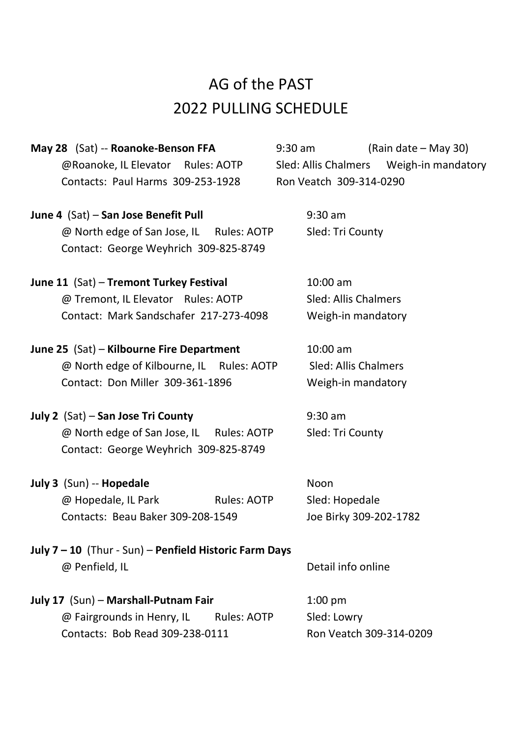## AG of the PAST 2022 PULLING SCHEDULE

| May 28 (Sat) -- Roanoke-Benson FFA       |  | $(Rain date - May 30)$<br>9:30 am |                         |                                         |
|------------------------------------------|--|-----------------------------------|-------------------------|-----------------------------------------|
| @Roanoke, IL Elevator Rules: AOTP        |  |                                   |                         | Sled: Allis Chalmers Weigh-in mandatory |
| Contacts: Paul Harms 309-253-1928        |  |                                   | Ron Veatch 309-314-0290 |                                         |
| June 4 (Sat) - San Jose Benefit Pull     |  | $9:30$ am                         |                         |                                         |
| @ North edge of San Jose, IL Rules: AOTP |  |                                   | Sled: Tri County        |                                         |
| Contact: George Weyhrich 309-825-8749    |  |                                   |                         |                                         |

**June 11** (Sat) – **Tremont Turkey Festival** 10:00 am @ Tremont, IL Elevator Rules: AOTP Sled: Allis Chalmers Contact: Mark Sandschafer 217-273-4098 Weigh-in mandatory

**June 25** (Sat) – **Kilbourne Fire Department** 10:00 am @ North edge of Kilbourne, IL Rules: AOTP Sled: Allis Chalmers Contact: Don Miller 309-361-1896 Weigh-in mandatory

**July 2** (Sat) – **San Jose Tri County** 9:30 am @ North edge of San Jose, IL Rules: AOTP Sled: Tri County Contact: George Weyhrich 309-825-8749

**July 3** (Sun) -- **Hopedale** Noon @ Hopedale, IL Park Rules: AOTP Sled: Hopedale Contacts: Beau Baker 309-208-1549 Joe Birky 309-202-1782

**July 7 – 10** (Thur - Sun) – **Penfield Historic Farm Days** @ Penfield, IL and the contraction of the Detail info online

**July 17** (Sun) – **Marshall-Putnam Fair** 1:00 pm @ Fairgrounds in Henry, IL Rules: AOTP Sled: Lowry Contacts: Bob Read 309-238-0111 Ron Veatch 309-314-0209